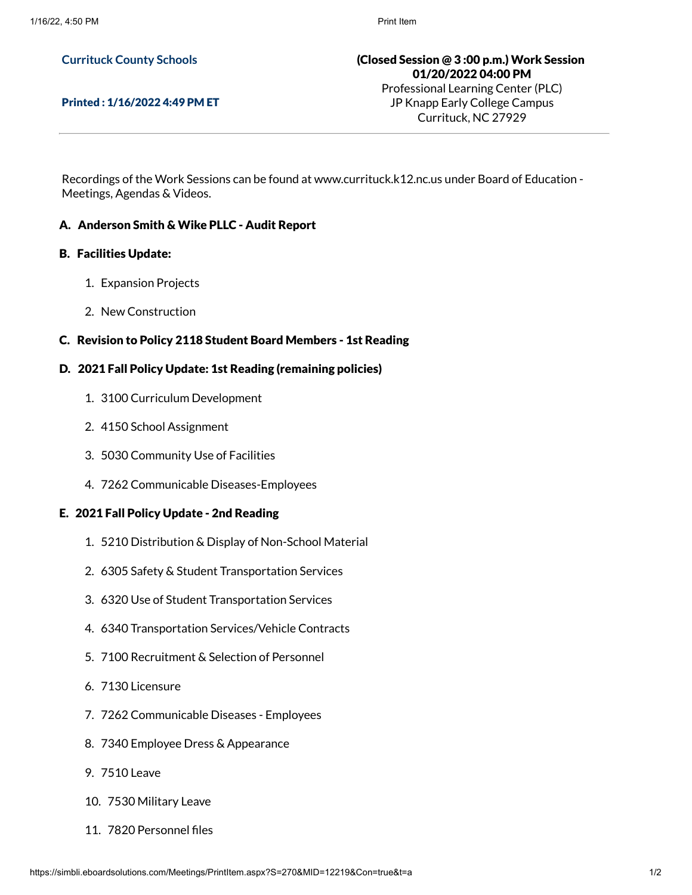# **Currituck County Schools**

#### Printed : 1/16/2022 4:49 PM ET

(Closed Session @ 3 :00 p.m.) Work Session 01/20/2022 04:00 PM Professional Learning Center (PLC)

JP Knapp Early College Campus Currituck, NC 27929

Recordings of the Work Sessions can be found at www.currituck.k12.nc.us under Board of Education - Meetings, Agendas & Videos.

# A. Anderson Smith & Wike PLLC - Audit Report

# B. Facilities Update:

- 1. Expansion Projects
- 2. New Construction

# C. Revision to Policy 2118 Student Board Members - 1st Reading

# D. 2021 Fall Policy Update: 1st Reading (remaining policies)

- 1. 3100 Curriculum Development
- 2. 4150 School Assignment
- 3. 5030 Community Use of Facilities
- 4. 7262 Communicable Diseases-Employees

#### E. 2021 Fall Policy Update - 2nd Reading

- 1. 5210 Distribution & Display of Non-School Material
- 2. 6305 Safety & Student Transportation Services
- 3. 6320 Use of Student Transportation Services
- 4. 6340 Transportation Services/Vehicle Contracts
- 5. 7100 Recruitment & Selection of Personnel
- 6. 7130 Licensure
- 7. 7262 Communicable Diseases Employees
- 8. 7340 Employee Dress & Appearance
- 9. 7510 Leave
- 10. 7530 Military Leave
- 11. 7820 Personnel files